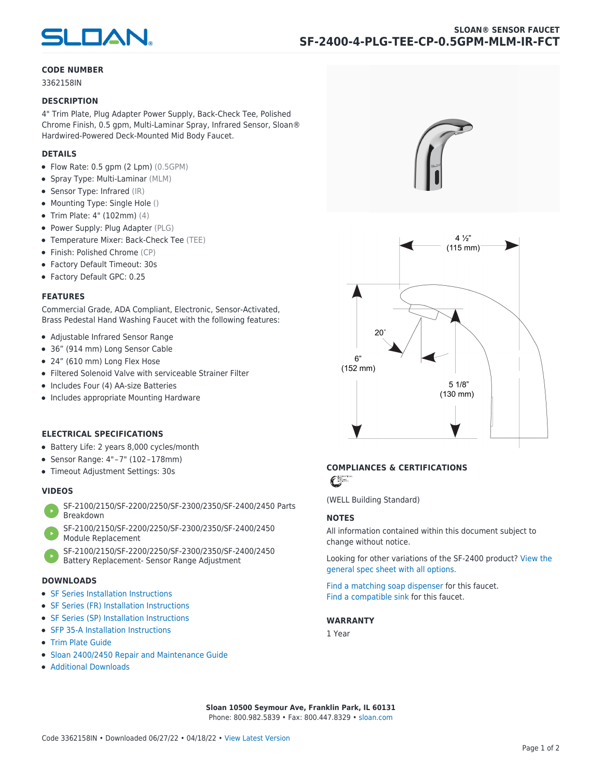

#### **CODE NUMBER**

3362158IN

#### **DESCRIPTION**

4" Trim Plate, Plug Adapter Power Supply, Back-Check Tee, Polished Chrome Finish, 0.5 gpm, Multi-Laminar Spray, Infrared Sensor, Sloan® Hardwired-Powered Deck-Mounted Mid Body Faucet.

#### **DETAILS**

- Flow Rate: 0.5 gpm (2 Lpm) (0.5GPM)
- Spray Type: Multi-Laminar (MLM)
- Sensor Type: Infrared (IR)
- Mounting Type: Single Hole ()
- Trim Plate: 4" (102mm) (4)
- Power Supply: Plug Adapter (PLG)
- Temperature Mixer: Back-Check Tee (TEE)
- Finish: Polished Chrome (CP)
- Factory Default Timeout: 30s
- Factory Default GPC: 0.25

#### **FEATURES**

Commercial Grade, ADA Compliant, Electronic, Sensor-Activated, Brass Pedestal Hand Washing Faucet with the following features:

- Adjustable Infrared Sensor Range
- 36" (914 mm) Long Sensor Cable
- 24" (610 mm) Long Flex Hose
- Filtered Solenoid Valve with serviceable Strainer Filter
- Includes Four (4) AA-size Batteries
- Includes appropriate Mounting Hardware

#### **ELECTRICAL SPECIFICATIONS**

- Battery Life: 2 years 8,000 cycles/month
- Sensor Range: 4" – 7" (102 – 178mm)
- Timeout Adjustment Settings: 30s

#### **VIDEOS**

- [SF-2100/2150/SF-2200/2250/SF-2300/2350/SF-2400/2450 Parts](https://vimeo.com/307089947) [Breakdown](https://vimeo.com/307089947)
- [SF-2100/2150/SF-2200/2250/SF-2300/2350/SF-2400/2450](https://vimeo.com/307087494) [Module Replacement](https://vimeo.com/307087494)
- [SF-2100/2150/SF-2200/2250/SF-2300/2350/SF-2400/2450](https://vimeo.com/307085279) [Battery Replacement- Sensor Range Adjustment](https://vimeo.com/307085279)

#### **DOWNLOADS**

- [SF Series Installation Instructions](https://en.sloan.com/sites/default/files/2018-02/II0816496Rev5_0.pdf)
- [SF Series \(FR\) Installation Instructions](https://en.sloan.com/sites/default/files/2015-12/0816563-fr.pdf)
- [SF Series \(SP\) Installation Instructions](https://en.sloan.com/sites/default/files/2022-03/0816568SP_Rev2.pdf)
- [SFP 35-A Installation Instructions](https://en.sloan.com/sites/default/files/2015-12/0816817.pdf)
- [Trim Plate Guide](https://en.sloan.com/sites/default/files/2020-03/Trim_PlatesAllFaucets.pdf)
- [Sloan 2400/2450 Repair and Maintenance Guide](https://en.sloan.com/sites/default/files/2022-06/Sloan-SF-2400-2450.pdf)
- [Additional Downloads](https://en.sloan.com/commercial-bathroom-products/faucets/sloan/sf-2400)





## **COMPLIANCES & CERTIFICATIONS**

C

(WELL Building Standard)

#### **NOTES**

All information contained within this document subject to change without notice.

[Looking for other variations of the SF-2400 product? View the](https://en.sloan.com/general-spec/311) [general spec sheet with all options.](https://en.sloan.com/general-spec/311)

[Find a matching soap dispenser](https://en.sloan.com/commercial-bathroom-products/soap-dispensers) for this faucet. [Find a compatible sink](https://en.sloan.com/commercial-bathroom-products/sinks) for this faucet.

#### **WARRANTY**

1 Year

**Sloan 10500 Seymour Ave, Franklin Park, IL 60131** Phone: 800.982.5839 • Fax: 800.447.8329 • [sloan.com](https://www.sloan.com)